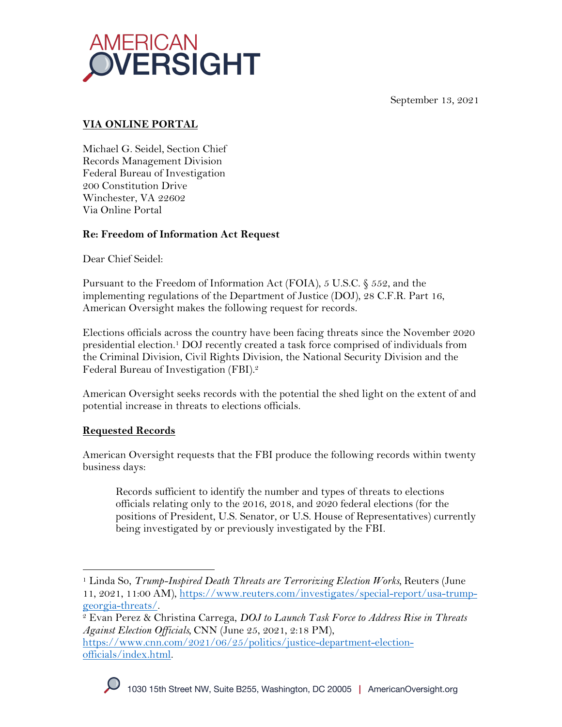



# **VIA ONLINE PORTAL**

Michael G. Seidel, Section Chief Records Management Division Federal Bureau of Investigation 200 Constitution Drive Winchester, VA 22602 Via Online Portal

# **Re: Freedom of Information Act Request**

Dear Chief Seidel:

Pursuant to the Freedom of Information Act (FOIA), 5 U.S.C. § 552, and the implementing regulations of the Department of Justice (DOJ), 28 C.F.R. Part 16, American Oversight makes the following request for records.

Elections officials across the country have been facing threats since the November 2020 presidential election.1 DOJ recently created a task force comprised of individuals from the Criminal Division, Civil Rights Division, the National Security Division and the Federal Bureau of Investigation (FBI).2

American Oversight seeks records with the potential the shed light on the extent of and potential increase in threats to elections officials.

# **Requested Records**

American Oversight requests that the FBI produce the following records within twenty business days:

Records sufficient to identify the number and types of threats to elections officials relating only to the 2016, 2018, and 2020 federal elections (for the positions of President, U.S. Senator, or U.S. House of Representatives) currently being investigated by or previously investigated by the FBI.

*Against Election Officials,* CNN (June 25, 2021, 2:18 PM), https://www.cnn.com/2021/06/25/politics/justice-department-electionofficials/index.html.



<sup>1</sup> Linda So, *Trump-Inspired Death Threats are Terrorizing Election Works,* Reuters (June 11, 2021, 11:00 AM), https://www.reuters.com/investigates/special-report/usa-trumpgeorgia-threats/. 2 Evan Perez & Christina Carrega, *DOJ to Launch Task Force to Address Rise in Threats*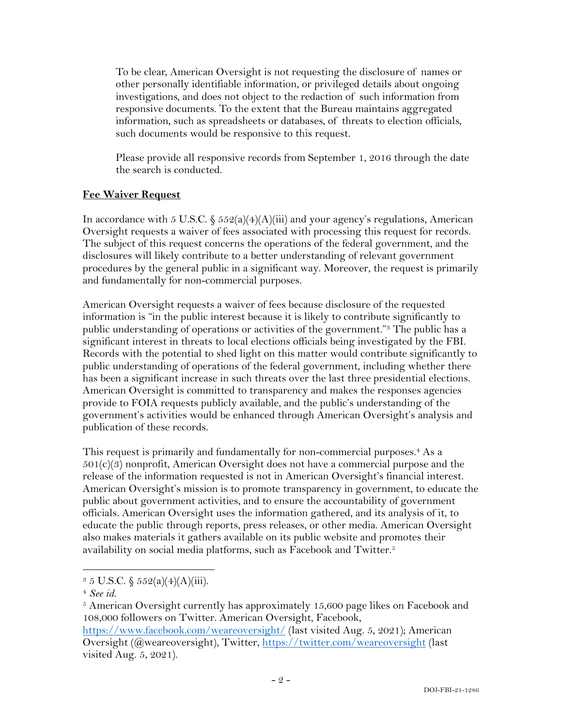To be clear, American Oversight is not requesting the disclosure of names or other personally identifiable information, or privileged details about ongoing investigations, and does not object to the redaction of such information from responsive documents. To the extent that the Bureau maintains aggregated information, such as spreadsheets or databases, of threats to election officials, such documents would be responsive to this request.

Please provide all responsive records from September 1, 2016 through the date the search is conducted.

## **Fee Waiver Request**

In accordance with 5 U.S.C.  $\frac{552(a)(4)(A)(iii)}{3}$  and your agency's regulations, American Oversight requests a waiver of fees associated with processing this request for records. The subject of this request concerns the operations of the federal government, and the disclosures will likely contribute to a better understanding of relevant government procedures by the general public in a significant way. Moreover, the request is primarily and fundamentally for non-commercial purposes.

American Oversight requests a waiver of fees because disclosure of the requested information is "in the public interest because it is likely to contribute significantly to public understanding of operations or activities of the government."3 The public has a significant interest in threats to local elections officials being investigated by the FBI. Records with the potential to shed light on this matter would contribute significantly to public understanding of operations of the federal government, including whether there has been a significant increase in such threats over the last three presidential elections. American Oversight is committed to transparency and makes the responses agencies provide to FOIA requests publicly available, and the public's understanding of the government's activities would be enhanced through American Oversight's analysis and publication of these records.

This request is primarily and fundamentally for non-commercial purposes.<sup>4</sup> As a  $501(c)(3)$  nonprofit, American Oversight does not have a commercial purpose and the release of the information requested is not in American Oversight's financial interest. American Oversight's mission is to promote transparency in government, to educate the public about government activities, and to ensure the accountability of government officials. American Oversight uses the information gathered, and its analysis of it, to educate the public through reports, press releases, or other media. American Oversight also makes materials it gathers available on its public website and promotes their availability on social media platforms, such as Facebook and Twitter.5

 $5$  American Oversight currently has approximately 15,600 page likes on Facebook and 108,000 followers on Twitter. American Oversight, Facebook, https://www.facebook.com/weareoversight/ (last visited Aug. 5, 2021); American

 $3 \, 5 \,$  U.S.C.  $\frac{252(a)(4)(A)(iii)}{3}.$ 

<sup>4</sup> *See id.*

Oversight (@weareoversight), Twitter, https://twitter.com/weareoversight (last visited Aug. 5, 2021).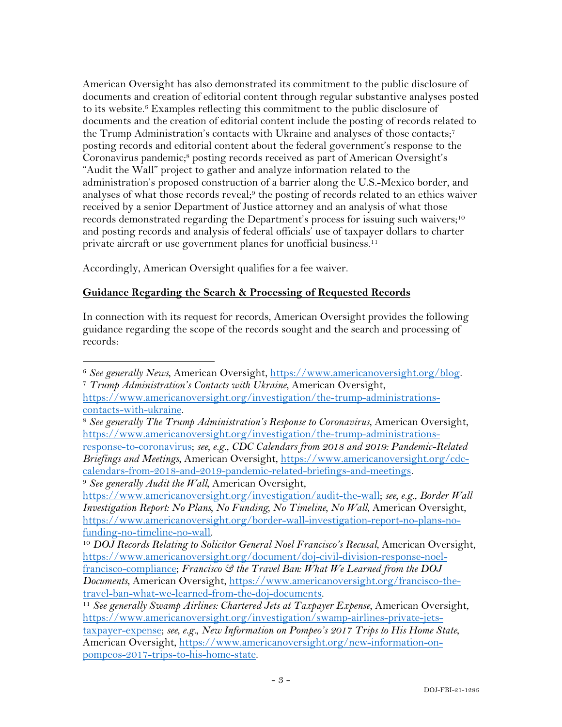American Oversight has also demonstrated its commitment to the public disclosure of documents and creation of editorial content through regular substantive analyses posted to its website.6 Examples reflecting this commitment to the public disclosure of documents and the creation of editorial content include the posting of records related to the Trump Administration's contacts with Ukraine and analyses of those contacts;<sup>7</sup> posting records and editorial content about the federal government's response to the Coronavirus pandemic;8 posting records received as part of American Oversight's "Audit the Wall" project to gather and analyze information related to the administration's proposed construction of a barrier along the U.S.-Mexico border, and analyses of what those records reveal;<sup>9</sup> the posting of records related to an ethics waiver received by a senior Department of Justice attorney and an analysis of what those records demonstrated regarding the Department's process for issuing such waivers;<sup>10</sup> and posting records and analysis of federal officials' use of taxpayer dollars to charter private aircraft or use government planes for unofficial business. 11

Accordingly, American Oversight qualifies for a fee waiver.

# **Guidance Regarding the Search & Processing of Requested Records**

In connection with its request for records, American Oversight provides the following guidance regarding the scope of the records sought and the search and processing of records:

<sup>6</sup> *See generally News*, American Oversight, https://www.americanoversight.org/blog. 7 *Trump Administration's Contacts with Ukraine*, American Oversight,

https://www.americanoversight.org/investigation/the-trump-administrationscontacts-with-ukraine.

<sup>8</sup> *See generally The Trump Administration's Response to Coronavirus*, American Oversight, https://www.americanoversight.org/investigation/the-trump-administrationsresponse-to-coronavirus; *see, e.g.*, *CDC Calendars from 2018 and 2019: Pandemic-Related Briefings and Meetings*, American Oversight, https://www.americanoversight.org/cdccalendars-from-2018-and-2019-pandemic-related-briefings-and-meetings. <sup>9</sup> *See generally Audit the Wall*, American Oversight,

https://www.americanoversight.org/investigation/audit-the-wall; *see, e.g.*, *Border Wall Investigation Report: No Plans, No Funding, No Timeline, No Wall*, American Oversight, https://www.americanoversight.org/border-wall-investigation-report-no-plans-no-

<sup>&</sup>lt;sup>10</sup> DOJ Records Relating to Solicitor General Noel Francisco's Recusal, American Oversight, https://www.americanoversight.org/document/doj-civil-division-response-noelfrancisco-compliance; *Francisco & the Travel Ban: What We Learned from the DOJ Documents*, American Oversight, https://www.americanoversight.org/francisco-thetravel-ban-what-we-learned-from-the-doj-documents.

<sup>&</sup>lt;sup>11</sup> See generally Swamp Airlines: Chartered Jets at Taxpayer Expense, American Oversight, https://www.americanoversight.org/investigation/swamp-airlines-private-jetstaxpayer-expense; *see, e.g.*, *New Information on Pompeo's 2017 Trips to His Home State*, American Oversight, https://www.americanoversight.org/new-information-onpompeos-2017-trips-to-his-home-state.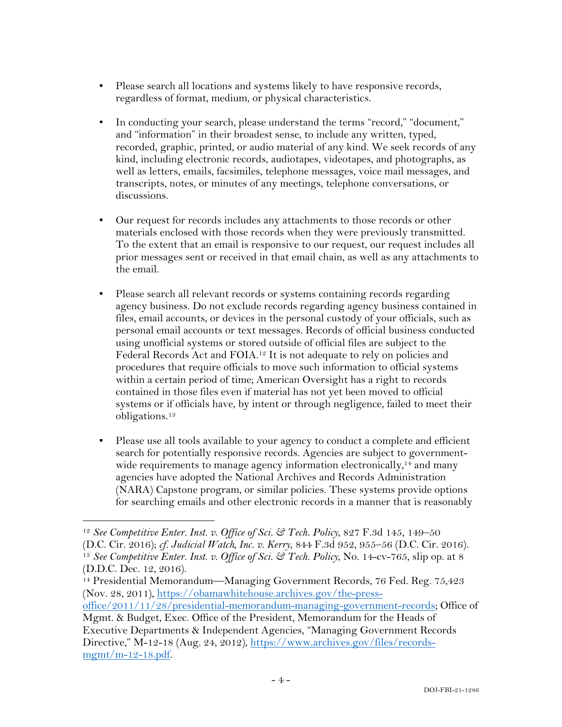- Please search all locations and systems likely to have responsive records, regardless of format, medium, or physical characteristics.
- In conducting your search, please understand the terms "record," "document," and "information" in their broadest sense, to include any written, typed, recorded, graphic, printed, or audio material of any kind. We seek records of any kind, including electronic records, audiotapes, videotapes, and photographs, as well as letters, emails, facsimiles, telephone messages, voice mail messages, and transcripts, notes, or minutes of any meetings, telephone conversations, or discussions.
- Our request for records includes any attachments to those records or other materials enclosed with those records when they were previously transmitted. To the extent that an email is responsive to our request, our request includes all prior messages sent or received in that email chain, as well as any attachments to the email.
- Please search all relevant records or systems containing records regarding agency business. Do not exclude records regarding agency business contained in files, email accounts, or devices in the personal custody of your officials, such as personal email accounts or text messages. Records of official business conducted using unofficial systems or stored outside of official files are subject to the Federal Records Act and FOIA.12 It is not adequate to rely on policies and procedures that require officials to move such information to official systems within a certain period of time; American Oversight has a right to records contained in those files even if material has not yet been moved to official systems or if officials have, by intent or through negligence, failed to meet their obligations.13
- Please use all tools available to your agency to conduct a complete and efficient search for potentially responsive records. Agencies are subject to governmentwide requirements to manage agency information electronically,<sup>14</sup> and many agencies have adopted the National Archives and Records Administration (NARA) Capstone program, or similar policies. These systems provide options for searching emails and other electronic records in a manner that is reasonably

<sup>12</sup> *See Competitive Enter. Inst. v. Office of Sci. & Tech. Policy*, 827 F.3d 145, 149–50 (D.C. Cir. 2016); *cf. Judicial Watch, Inc. v. Kerry*, 844 F.3d 952, 955–56 (D.C. Cir. 2016). 13 *See Competitive Enter. Inst. v. Office of Sci. & Tech. Policy*, No. 14-cv-765, slip op. at 8 (D.D.C. Dec. 12, 2016).

<sup>&</sup>lt;sup>14</sup> Presidential Memorandum—Managing Government Records, 76 Fed. Reg. 75,423 (Nov. 28, 2011), https://obamawhitehouse.archives.gov/the-press-

office/2011/11/28/presidential-memorandum-managing-government-records; Office of Mgmt. & Budget, Exec. Office of the President, Memorandum for the Heads of

Executive Departments & Independent Agencies, "Managing Government Records Directive," M-12-18 (Aug. 24, 2012), https://www.archives.gov/files/records $m$ gmt/m-12-18.pdf.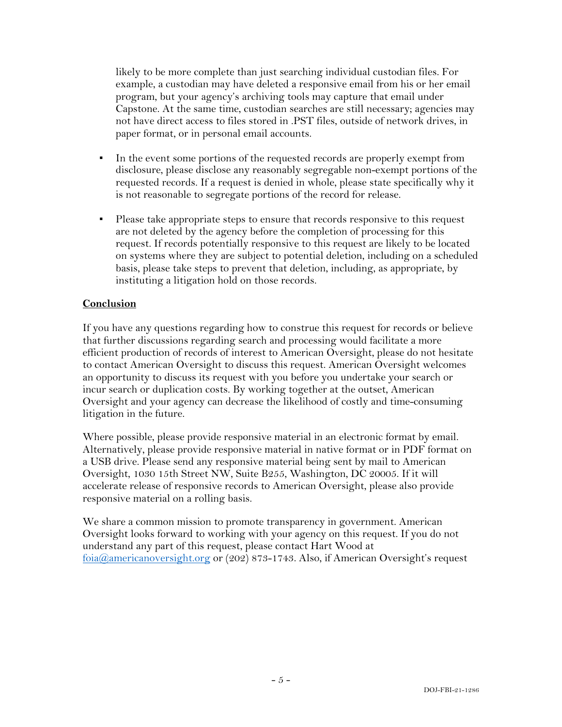likely to be more complete than just searching individual custodian files. For example, a custodian may have deleted a responsive email from his or her email program, but your agency's archiving tools may capture that email under Capstone. At the same time, custodian searches are still necessary; agencies may not have direct access to files stored in .PST files, outside of network drives, in paper format, or in personal email accounts.

- In the event some portions of the requested records are properly exempt from disclosure, please disclose any reasonably segregable non-exempt portions of the requested records. If a request is denied in whole, please state specifically why it is not reasonable to segregate portions of the record for release.
- Please take appropriate steps to ensure that records responsive to this request are not deleted by the agency before the completion of processing for this request. If records potentially responsive to this request are likely to be located on systems where they are subject to potential deletion, including on a scheduled basis, please take steps to prevent that deletion, including, as appropriate, by instituting a litigation hold on those records.

### **Conclusion**

If you have any questions regarding how to construe this request for records or believe that further discussions regarding search and processing would facilitate a more efficient production of records of interest to American Oversight, please do not hesitate to contact American Oversight to discuss this request. American Oversight welcomes an opportunity to discuss its request with you before you undertake your search or incur search or duplication costs. By working together at the outset, American Oversight and your agency can decrease the likelihood of costly and time-consuming litigation in the future.

Where possible, please provide responsive material in an electronic format by email. Alternatively, please provide responsive material in native format or in PDF format on a USB drive. Please send any responsive material being sent by mail to American Oversight, 1030 15th Street NW, Suite B255, Washington, DC 20005. If it will accelerate release of responsive records to American Oversight, please also provide responsive material on a rolling basis.

We share a common mission to promote transparency in government. American Oversight looks forward to working with your agency on this request. If you do not understand any part of this request, please contact Hart Wood at foia@americanoversight.org or (202) 873-1743. Also, if American Oversight's request